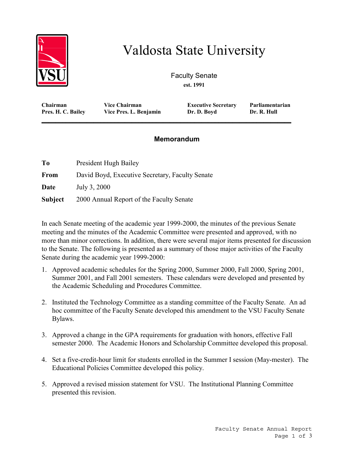

## Valdosta State University

Faculty Senate **est. 1991**

**Chairman Vice Chairman Executive Secretary Parliamentarian** Pres. H. C. Bailey Vice Pres. L. Benjamin

**\_\_\_\_\_\_\_\_\_\_\_\_\_\_\_\_\_\_\_\_\_\_\_\_\_\_\_\_\_\_\_\_\_\_\_\_\_\_\_\_\_\_\_\_\_\_\_\_\_\_\_\_\_\_\_\_\_\_\_\_\_\_\_\_\_\_\_\_\_\_\_\_**

## **Memorandum**

| To             | President Hugh Bailey                           |
|----------------|-------------------------------------------------|
| From           | David Boyd, Executive Secretary, Faculty Senate |
| Date           | July 3, 2000                                    |
| <b>Subject</b> | 2000 Annual Report of the Faculty Senate        |

In each Senate meeting of the academic year 1999-2000, the minutes of the previous Senate meeting and the minutes of the Academic Committee were presented and approved, with no more than minor corrections. In addition, there were several major items presented for discussion to the Senate. The following is presented as a summary of those major activities of the Faculty Senate during the academic year 1999-2000:

- 1. Approved academic schedules for the Spring 2000, Summer 2000, Fall 2000, Spring 2001, Summer 2001, and Fall 2001 semesters. These calendars were developed and presented by the Academic Scheduling and Procedures Committee.
- 2. Instituted the Technology Committee as a standing committee of the Faculty Senate. An ad hoc committee of the Faculty Senate developed this amendment to the VSU Faculty Senate Bylaws.
- 3. Approved a change in the GPA requirements for graduation with honors, effective Fall semester 2000. The Academic Honors and Scholarship Committee developed this proposal.
- 4. Set a five-credit-hour limit for students enrolled in the Summer I session (May-mester). The Educational Policies Committee developed this policy.
- 5. Approved a revised mission statement for VSU. The Institutional Planning Committee presented this revision.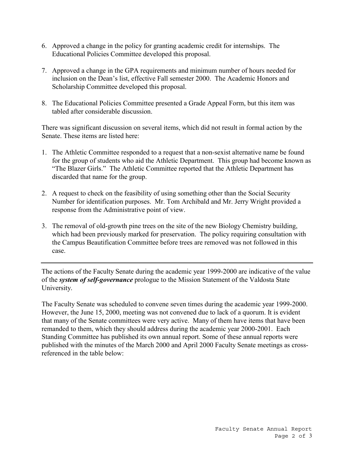- 6. Approved a change in the policy for granting academic credit for internships. The Educational Policies Committee developed this proposal.
- 7. Approved a change in the GPA requirements and minimum number of hours needed for inclusion on the Dean's list, effective Fall semester 2000. The Academic Honors and Scholarship Committee developed this proposal.
- 8. The Educational Policies Committee presented a Grade Appeal Form, but this item was tabled after considerable discussion.

There was significant discussion on several items, which did not result in formal action by the Senate. These items are listed here:

- 1. The Athletic Committee responded to a request that a non-sexist alternative name be found for the group of students who aid the Athletic Department. This group had become known as "The Blazer Girls." The Athletic Committee reported that the Athletic Department has discarded that name for the group.
- 2. A request to check on the feasibility of using something other than the Social Security Number for identification purposes. Mr. Tom Archibald and Mr. Jerry Wright provided a response from the Administrative point of view.
- 3. The removal of old-growth pine trees on the site of the new Biology Chemistry building, which had been previously marked for preservation. The policy requiring consultation with the Campus Beautification Committee before trees are removed was not followed in this case.

The actions of the Faculty Senate during the academic year 1999-2000 are indicative of the value of the *system of self-governance* prologue to the Mission Statement of the Valdosta State University.

The Faculty Senate was scheduled to convene seven times during the academic year 1999-2000. However, the June 15, 2000, meeting was not convened due to lack of a quorum. It is evident that many of the Senate committees were very active. Many of them have items that have been remanded to them, which they should address during the academic year 2000-2001. Each Standing Committee has published its own annual report. Some of these annual reports were published with the minutes of the March 2000 and April 2000 Faculty Senate meetings as crossreferenced in the table below: